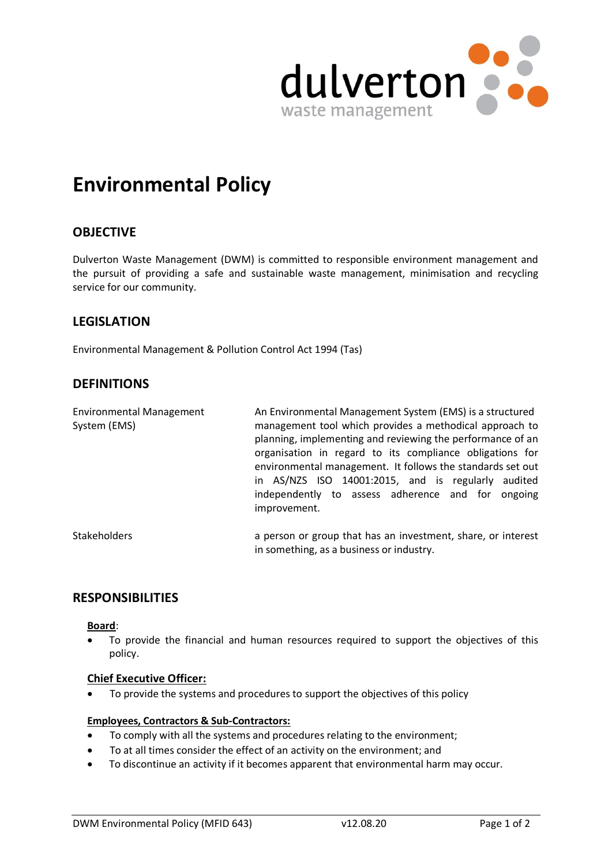

# **Environmental Policy**

## **OBJECTIVE**

Dulverton Waste Management (DWM) is committed to responsible environment management and the pursuit of providing a safe and sustainable waste management, minimisation and recycling service for our community.

## **LEGISLATION**

Environmental Management & Pollution Control Act 1994 (Tas)

## **DEFINITIONS**

| <b>Environmental Management</b><br>System (EMS) | An Environmental Management System (EMS) is a structured<br>management tool which provides a methodical approach to<br>planning, implementing and reviewing the performance of an<br>organisation in regard to its compliance obligations for<br>environmental management. It follows the standards set out<br>in AS/NZS ISO 14001:2015, and is regularly audited<br>independently to assess adherence and for ongoing<br>improvement. |  |  |
|-------------------------------------------------|----------------------------------------------------------------------------------------------------------------------------------------------------------------------------------------------------------------------------------------------------------------------------------------------------------------------------------------------------------------------------------------------------------------------------------------|--|--|
| <b>Stakeholders</b>                             | a person or group that has an investment, share, or interest<br>in something, as a business or industry.                                                                                                                                                                                                                                                                                                                               |  |  |

## **RESPONSIBILITIES**

#### **Board**:

To provide the financial and human resources required to support the objectives of this policy.

#### **Chief Executive Officer:**

To provide the systems and procedures to support the objectives of this policy

### **Employees, Contractors & Sub-Contractors:**

- To comply with all the systems and procedures relating to the environment;
- To at all times consider the effect of an activity on the environment; and
- To discontinue an activity if it becomes apparent that environmental harm may occur.